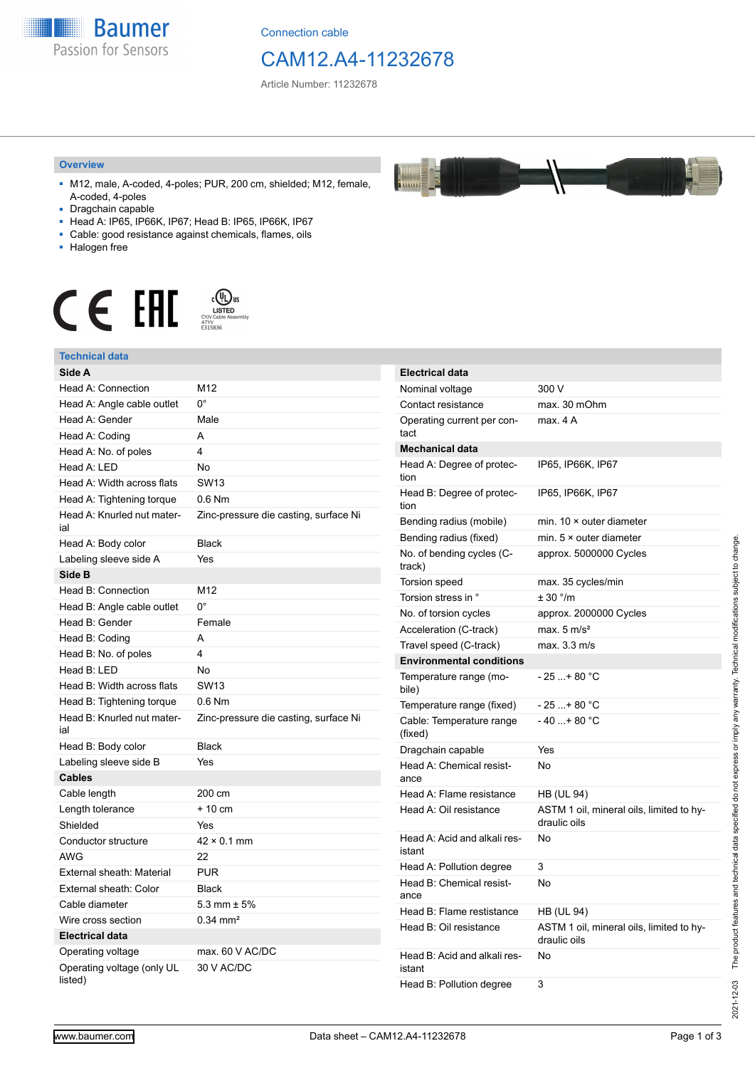

Connection cable

## CAM12.A4-11232678

Article Number: 11232678

#### **Overview**

- M12, male, A-coded, 4-poles; PUR, 200 cm, shielded; M12, female, A-coded, 4-poles
- Dragchain capable
- Head A: IP65, IP66K, IP67; Head B: IP65, IP66K, IP67
- Cable: good resistance against chemicals, flames, oils
- Halogen free



#### **Technical data**

| Technical data                        |                                       |
|---------------------------------------|---------------------------------------|
| Side A                                |                                       |
| Head A: Connection                    | M12                                   |
| Head A: Angle cable outlet            | 0°                                    |
| Head A: Gender                        | Male                                  |
| Head A: Coding                        | А                                     |
| Head A: No. of poles                  | 4                                     |
| Head A: LED                           | No                                    |
| Head A: Width across flats            | <b>SW13</b>                           |
| Head A: Tightening torque             | $0.6$ Nm                              |
| Head A: Knurled nut mater-<br>ial     | Zinc-pressure die casting, surface Ni |
| Head A: Body color                    | <b>Black</b>                          |
| Labeling sleeve side A                | Yes                                   |
| Side B                                |                                       |
| Head B: Connection                    | M12                                   |
| Head B: Angle cable outlet            | $0^{\circ}$                           |
| Head B: Gender                        | Female                                |
| Head B: Coding                        | A                                     |
| Head B: No. of poles                  | 4                                     |
| Head B: LED                           | No                                    |
| Head B: Width across flats            | <b>SW13</b>                           |
| Head B: Tightening torque             | $0.6$ Nm                              |
| Head B: Knurled nut mater-<br>ial     | Zinc-pressure die casting, surface Ni |
| Head B: Body color                    | <b>Black</b>                          |
| Labeling sleeve side B                | Yes                                   |
| <b>Cables</b>                         |                                       |
| Cable length                          | 200 cm                                |
| Length tolerance                      | $+10 \text{ cm}$                      |
| Shielded                              | Yes                                   |
| Conductor structure                   | $42 \times 0.1$ mm                    |
| AWG                                   | 22                                    |
| External sheath: Material             | <b>PUR</b>                            |
| External sheath: Color                | <b>Black</b>                          |
| Cable diameter                        | 5.3 mm $\pm$ 5%                       |
| Wire cross section                    | $0.34 \, \text{mm}^2$                 |
| <b>Electrical data</b>                |                                       |
| Operating voltage                     | max. 60 V AC/DC                       |
| Operating voltage (only UL<br>listed) | 30 V AC/DC                            |

| <b>Electrical data</b>                 |                                                          |
|----------------------------------------|----------------------------------------------------------|
| Nominal voltage                        | 300 V                                                    |
| Contact resistance                     | max. 30 mOhm                                             |
| Operating current per con-<br>tact     | max. 4 A                                                 |
| <b>Mechanical data</b>                 |                                                          |
| Head A: Degree of protec-<br>tion      | IP65, IP66K, IP67                                        |
| Head B: Degree of protec-<br>tion      | IP65, IP66K, IP67                                        |
| Bending radius (mobile)                | min. $10 \times$ outer diameter                          |
| Bending radius (fixed)                 | min. $5 \times$ outer diameter                           |
| No. of bending cycles (C-<br>track)    | approx. 5000000 Cycles                                   |
| <b>Torsion speed</b>                   | max. 35 cycles/min                                       |
| Torsion stress in °                    | ± 30 °/m                                                 |
| No. of torsion cycles                  | approx. 2000000 Cycles                                   |
| Acceleration (C-track)                 | max. $5 \text{ m/s}^2$                                   |
| Travel speed (C-track)                 | max. 3.3 m/s                                             |
| <b>Environmental conditions</b>        |                                                          |
| Temperature range (mo-<br>bile)        | - 25 + 80 °C                                             |
| Temperature range (fixed)              | - 25 + 80 °C                                             |
| Cable: Temperature range<br>(fixed)    | $-40+80 °C$                                              |
| Dragchain capable                      | Yes                                                      |
| Head A: Chemical resist-<br>ance       | No                                                       |
| Head A: Flame resistance               | HB (UL 94)                                               |
| Head A: Oil resistance                 | ASTM 1 oil, mineral oils, limited to hy-<br>draulic oils |
| Head A: Acid and alkali res-<br>istant | No                                                       |
| Head A: Pollution degree               | 3                                                        |
| Head B: Chemical resist-<br>ance       | No                                                       |
| Head B: Flame restistance              | HB (UL 94)                                               |
| Head B: Oil resistance                 | ASTM 1 oil, mineral oils, limited to hy-<br>draulic oils |
| Head B: Acid and alkali res-<br>istant | No                                                       |
| Head B: Pollution degree               | 3                                                        |

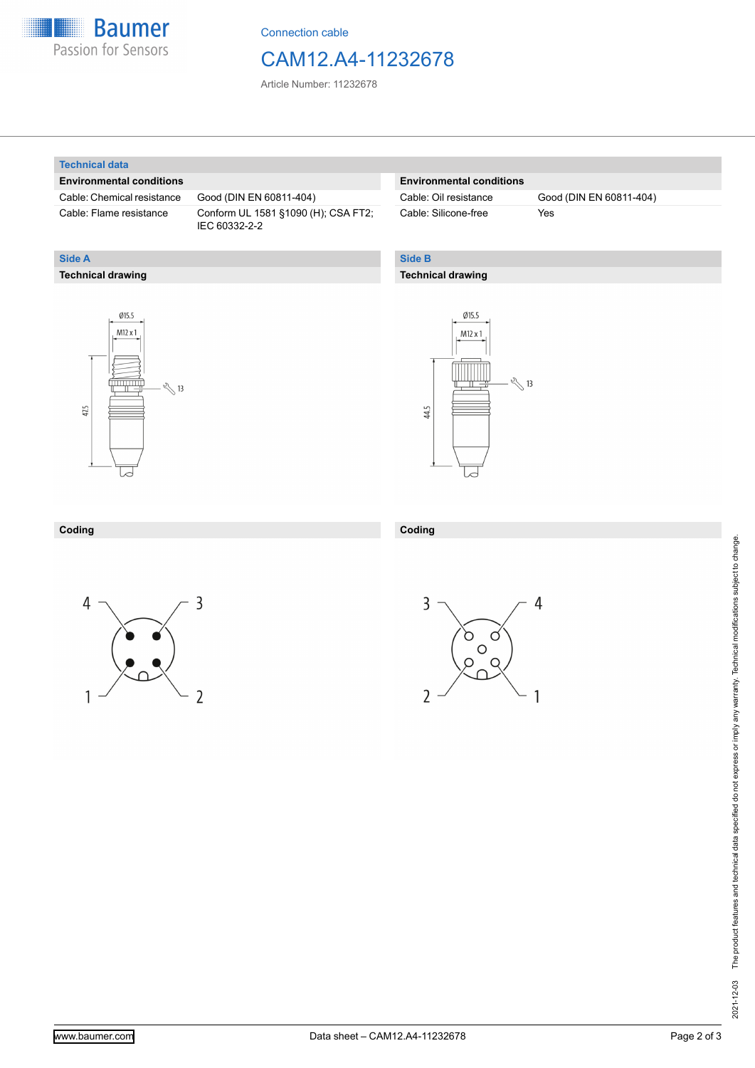

Connection cable

### CAM12.A4-11232678

Article Number: 11232678

#### **Technical data**

**Technical drawing**

**Side A**

#### **Environmental conditions**

Cable: Chemical resistance Good (DIN EN 60811-404)

Cable: Flame resistance Conform UL 1581 §1090 (H); CSA FT2; IEC 60332-2-2

#### **Environmental conditions**

Cable: Silicone-free Yes

Cable: Oil resistance Good (DIN EN 60811-404)

### **Side B**

#### **Technical drawing**





| Coding | - Coding |
|--------|----------|
|        |          |